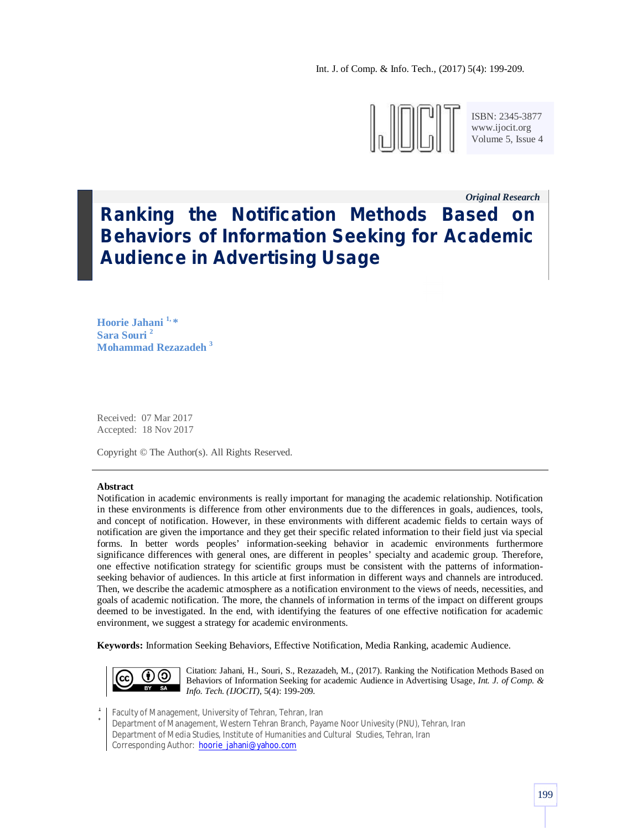Int. J. of Comp. & Info. Tech., (2017) 5(4): 199-209.



ISBN: 2345-3877 www.ijocit.org Volume 5, Issue 4

*Original Research\_\_*

# **Ranking the Notification Methods Based on Behaviors of Information Seeking for Academic Audience in Advertising Usage**

**Hoorie Jahani 1, \* Sara Souri <sup>2</sup> Mohammad Rezazadeh <sup>3</sup>**

Received: 07 Mar 2017 Accepted: 18 Nov 2017

Copyright © The Author(s). All Rights Reserved.

#### **Abstract**

Notification in academic environments is really important for managing the academic relationship. Notification in these environments is difference from other environments due to the differences in goals, audiences, tools, and concept of notification. However, in these environments with different academic fields to certain ways of notification are given the importance and they get their specific related information to their field just via special forms. In better words peoples' information-seeking behavior in academic environments furthermore significance differences with general ones, are different in peoples' specialty and academic group. Therefore, one effective notification strategy for scientific groups must be consistent with the patterns of informationseeking behavior of audiences. In this article at first information in different ways and channels are introduced. Then, we describe the academic atmosphere as a notification environment to the views of needs, necessities, and goals of academic notification. The more, the channels of information in terms of the impact on different groups deemed to be investigated. In the end, with identifying the features of one effective notification for academic environment, we suggest a strategy for academic environments.

**Keywords:** Information Seeking Behaviors, Effective Notification, Media Ranking, academic Audience.



Citation: Jahani, H., Souri, S., Rezazadeh, M., (2017). Ranking the Notification Methods Based on Behaviors of Information Seeking for academic Audience in Advertising Usage, *Int. J. of Comp. & Info. Tech. (IJOCIT)*, 5(4): 199-209.

1 Faculty of Management, University of Tehran, Tehran, Iran

\* Department of Management, Western Tehran Branch, Payame Noor Univesity (PNU), Tehran, Iran Department of Media Studies, Institute of Humanities and Cultural Studies, Tehran, Iran Corresponding Author: hoorie\_jahani@yahoo.com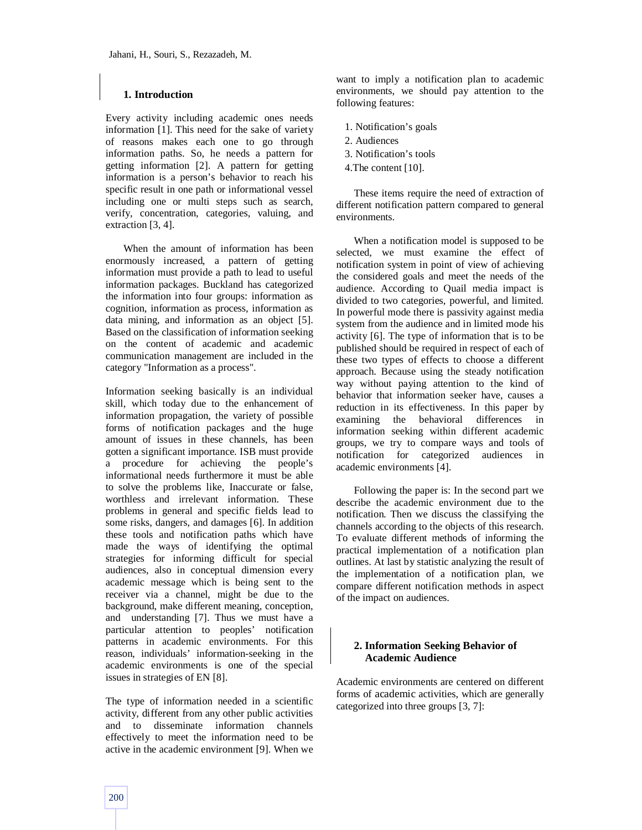## **1. Introduction**

Every activity including academic ones needs information [1]. This need for the sake of variety of reasons makes each one to go through information paths. So, he needs a pattern for getting information [2]. A pattern for getting information is a person's behavior to reach his specific result in one path or informational vessel including one or multi steps such as search, verify, concentration, categories, valuing, and extraction [3, 4].

When the amount of information has been enormously increased, a pattern of getting information must provide a path to lead to useful information packages. Buckland has categorized the information into four groups: information as cognition, information as process, information as data mining, and information as an object [5]. Based on the classification of information seeking on the content of academic and academic communication management are included in the category "Information as a process".

Information seeking basically is an individual skill, which today due to the enhancement of information propagation, the variety of possible forms of notification packages and the huge amount of issues in these channels, has been gotten a significant importance. ISB must provide a procedure for achieving the people's informational needs furthermore it must be able to solve the problems like, Inaccurate or false, worthless and irrelevant information. These problems in general and specific fields lead to some risks, dangers, and damages [6]. In addition these tools and notification paths which have made the ways of identifying the optimal strategies for informing difficult for special audiences, also in conceptual dimension every academic message which is being sent to the receiver via a channel, might be due to the background, make different meaning, conception, and understanding [7]. Thus we must have a particular attention to peoples' notification patterns in academic environments. For this reason, individuals' information-seeking in the academic environments is one of the special issues in strategies of EN [8].

The type of information needed in a scientific activity, different from any other public activities and to disseminate information channels effectively to meet the information need to be active in the academic environment [9]. When we want to imply a notification plan to academic environments, we should pay attention to the following features:

- 1. Notification's goals
- 2. Audiences
- 3. Notification's tools
- 4.The content [10].

These items require the need of extraction of different notification pattern compared to general environments.

When a notification model is supposed to be selected, we must examine the effect of notification system in point of view of achieving the considered goals and meet the needs of the audience. According to Quail media impact is divided to two categories, powerful, and limited. In powerful mode there is passivity against media system from the audience and in limited mode his activity [6]. The type of information that is to be published should be required in respect of each of these two types of effects to choose a different approach. Because using the steady notification way without paying attention to the kind of behavior that information seeker have, causes a reduction in its effectiveness. In this paper by examining the behavioral differences in information seeking within different academic groups, we try to compare ways and tools of notification for categorized audiences in academic environments [4].

Following the paper is: In the second part we describe the academic environment due to the notification. Then we discuss the classifying the channels according to the objects of this research. To evaluate different methods of informing the practical implementation of a notification plan outlines. At last by statistic analyzing the result of the implementation of a notification plan, we compare different notification methods in aspect of the impact on audiences.

# **2. Information Seeking Behavior of Academic Audience**

Academic environments are centered on different forms of academic activities, which are generally categorized into three groups [3, 7]: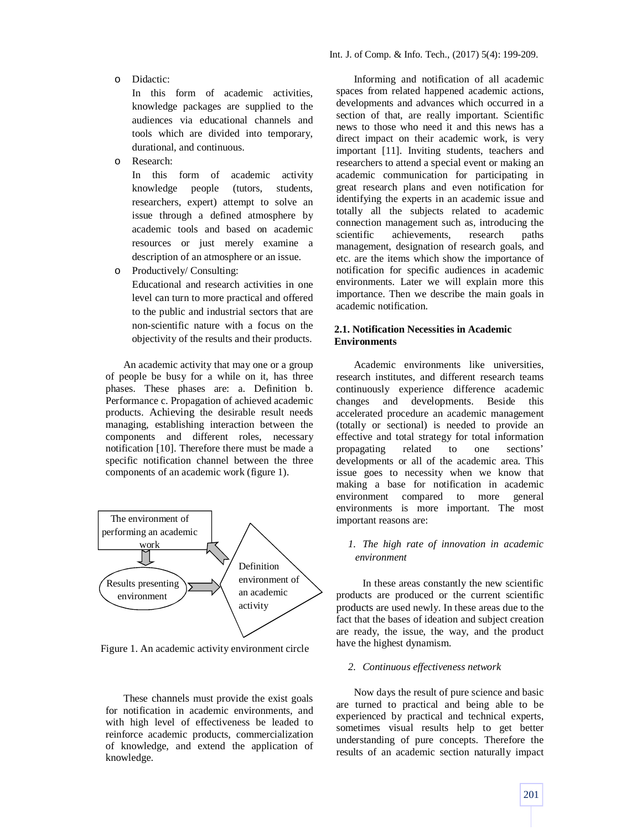o Didactic:

In this form of academic activities, knowledge packages are supplied to the audiences via educational channels and tools which are divided into temporary, durational, and continuous.

o Research:

In this form of academic activity knowledge people (tutors, students, researchers, expert) attempt to solve an issue through a defined atmosphere by academic tools and based on academic resources or just merely examine a description of an atmosphere or an issue.

o Productively/ Consulting:

Educational and research activities in one level can turn to more practical and offered to the public and industrial sectors that are non-scientific nature with a focus on the objectivity of the results and their products.

An academic activity that may one or a group of people be busy for a while on it, has three phases. These phases are: a. Definition b. Performance c. Propagation of achieved academic products. Achieving the desirable result needs managing, establishing interaction between the components and different roles, necessary notification [10]. Therefore there must be made a specific notification channel between the three components of an academic work (figure 1).



Figure 1. An academic activity environment circle

These channels must provide the exist goals for notification in academic environments, and with high level of effectiveness be leaded to reinforce academic products, commercialization of knowledge, and extend the application of knowledge.

Informing and notification of all academic spaces from related happened academic actions, developments and advances which occurred in a section of that, are really important. Scientific news to those who need it and this news has a direct impact on their academic work, is very important [11]. Inviting students, teachers and researchers to attend a special event or making an academic communication for participating in great research plans and even notification for identifying the experts in an academic issue and totally all the subjects related to academic connection management such as, introducing the scientific achievements, research paths management, designation of research goals, and etc. are the items which show the importance of notification for specific audiences in academic environments. Later we will explain more this importance. Then we describe the main goals in academic notification.

## **2.1. Notification Necessities in Academic Environments**

Academic environments like universities, research institutes, and different research teams continuously experience difference academic changes and developments. Beside this accelerated procedure an academic management (totally or sectional) is needed to provide an effective and total strategy for total information propagating related to one sections' developments or all of the academic area. This issue goes to necessity when we know that making a base for notification in academic environment compared to more general environments is more important. The most important reasons are:

# *1. The high rate of innovation in academic environment*

 In these areas constantly the new scientific products are produced or the current scientific products are used newly. In these areas due to the fact that the bases of ideation and subject creation are ready, the issue, the way, and the product have the highest dynamism.

#### *2. Continuous effectiveness network*

Now days the result of pure science and basic are turned to practical and being able to be experienced by practical and technical experts, sometimes visual results help to get better understanding of pure concepts. Therefore the results of an academic section naturally impact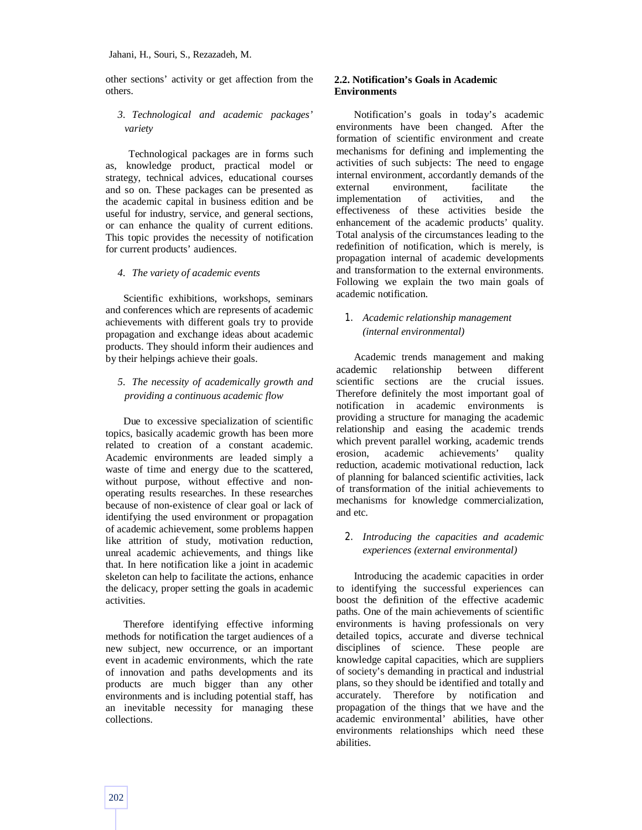other sections' activity or get affection from the others.

# *3. Technological and academic packages' variety*

 Technological packages are in forms such as, knowledge product, practical model or strategy, technical advices, educational courses and so on. These packages can be presented as the academic capital in business edition and be useful for industry, service, and general sections, or can enhance the quality of current editions. This topic provides the necessity of notification for current products' audiences.

*4. The variety of academic events*

Scientific exhibitions, workshops, seminars and conferences which are represents of academic achievements with different goals try to provide propagation and exchange ideas about academic products. They should inform their audiences and by their helpings achieve their goals.

# *5. The necessity of academically growth and providing a continuous academic flow*

Due to excessive specialization of scientific topics, basically academic growth has been more related to creation of a constant academic. Academic environments are leaded simply a waste of time and energy due to the scattered, without purpose, without effective and nonoperating results researches. In these researches because of non-existence of clear goal or lack of identifying the used environment or propagation of academic achievement, some problems happen like attrition of study, motivation reduction, unreal academic achievements, and things like that. In here notification like a joint in academic skeleton can help to facilitate the actions, enhance the delicacy, proper setting the goals in academic activities.

Therefore identifying effective informing methods for notification the target audiences of a new subject, new occurrence, or an important event in academic environments, which the rate of innovation and paths developments and its products are much bigger than any other environments and is including potential staff, has an inevitable necessity for managing these collections.

## **2.2. Notification's Goals in Academic Environments**

Notification's goals in today's academic environments have been changed. After the formation of scientific environment and create mechanisms for defining and implementing the activities of such subjects: The need to engage internal environment, accordantly demands of the external environment, facilitate the implementation of activities, and the effectiveness of these activities beside the enhancement of the academic products' quality. Total analysis of the circumstances leading to the redefinition of notification, which is merely, is propagation internal of academic developments and transformation to the external environments. Following we explain the two main goals of academic notification.

# *1. Academic relationship management (internal environmental)*

Academic trends management and making academic relationship between different scientific sections are the crucial issues. Therefore definitely the most important goal of notification in academic environments is providing a structure for managing the academic relationship and easing the academic trends which prevent parallel working, academic trends erosion, academic achievements' quality reduction, academic motivational reduction, lack of planning for balanced scientific activities, lack of transformation of the initial achievements to mechanisms for knowledge commercialization, and etc.

# *2. Introducing the capacities and academic experiences (external environmental)*

Introducing the academic capacities in order to identifying the successful experiences can boost the definition of the effective academic paths. One of the main achievements of scientific environments is having professionals on very detailed topics, accurate and diverse technical disciplines of science. These people are knowledge capital capacities, which are suppliers of society's demanding in practical and industrial plans, so they should be identified and totally and accurately. Therefore by notification and propagation of the things that we have and the academic environmental' abilities, have other environments relationships which need these abilities.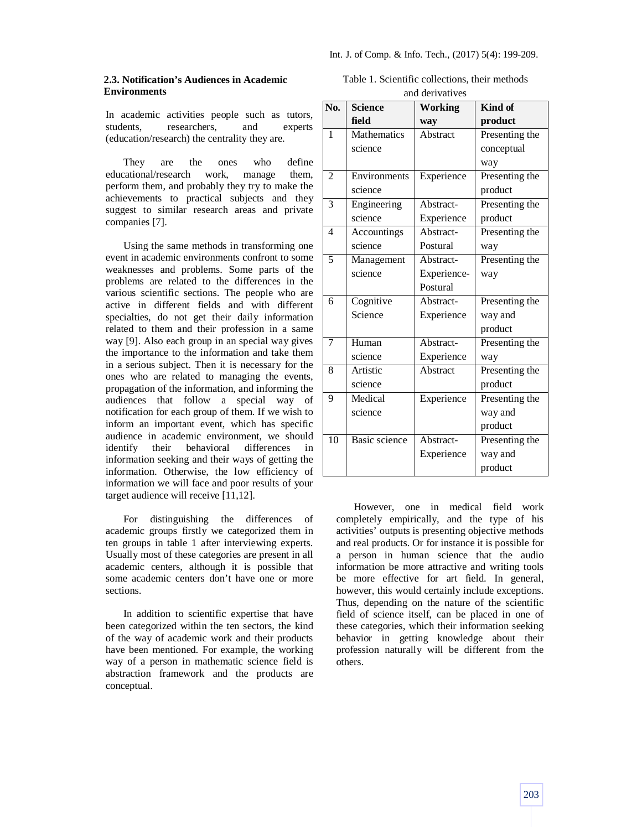## **2.3. Notification's Audiences in Academic Environments**

In academic activities people such as tutors, students, researchers, and experts (education/research) the centrality they are.

They are the ones who define educational/research work, manage them, perform them, and probably they try to make the achievements to practical subjects and they suggest to similar research areas and private companies [7].

Using the same methods in transforming one event in academic environments confront to some weaknesses and problems. Some parts of the problems are related to the differences in the various scientific sections. The people who are active in different fields and with different specialties, do not get their daily information related to them and their profession in a same way [9]. Also each group in an special way gives the importance to the information and take them in a serious subject. Then it is necessary for the ones who are related to managing the events, propagation of the information, and informing the audiences that follow a special way of notification for each group of them. If we wish to inform an important event, which has specific audience in academic environment, we should identify their behavioral differences in information seeking and their ways of getting the information. Otherwise, the low efficiency of information we will face and poor results of your target audience will receive [11,12].

For distinguishing the differences of academic groups firstly we categorized them in ten groups in table 1 after interviewing experts. Usually most of these categories are present in all academic centers, although it is possible that some academic centers don't have one or more sections.

In addition to scientific expertise that have been categorized within the ten sectors, the kind of the way of academic work and their products have been mentioned. For example, the working way of a person in mathematic science field is abstraction framework and the products are conceptual.

Table 1. Scientific collections, their methods and derivatives

| No. | <b>Science</b>       | <b>Working</b> | Kind of        |
|-----|----------------------|----------------|----------------|
|     | field                | way            | product        |
| 1   | Mathematics          | Abstract       | Presenting the |
|     | science              |                | conceptual     |
|     |                      |                | way            |
| 2   | Environments         | Experience     | Presenting the |
|     | science              |                | product        |
| 3   | Engineering          | Abstract-      | Presenting the |
|     | science              | Experience     | product        |
| 4   | Accountings          | Abstract-      | Presenting the |
|     | science              | Postural       | way            |
| 5   | Management           | Abstract-      | Presenting the |
|     | science              | Experience-    | way            |
|     |                      | Postural       |                |
| 6   | Cognitive            | Abstract-      | Presenting the |
|     | Science              | Experience     | way and        |
|     |                      |                | product        |
| 7   | Human                | Abstract-      | Presenting the |
|     | science              | Experience     | way            |
| 8   | Artistic             | Abstract       | Presenting the |
|     | science              |                | product        |
| 9   | Medical              | Experience     | Presenting the |
|     | science              |                | way and        |
|     |                      |                | product        |
| 10  | <b>Basic science</b> | Abstract-      | Presenting the |
|     |                      | Experience     | way and        |
|     |                      |                | product        |

However, one in medical field work completely empirically, and the type of his activities' outputs is presenting objective methods and real products. Or for instance it is possible for a person in human science that the audio information be more attractive and writing tools be more effective for art field. In general, however, this would certainly include exceptions. Thus, depending on the nature of the scientific field of science itself, can be placed in one of these categories, which their information seeking behavior in getting knowledge about their profession naturally will be different from the others.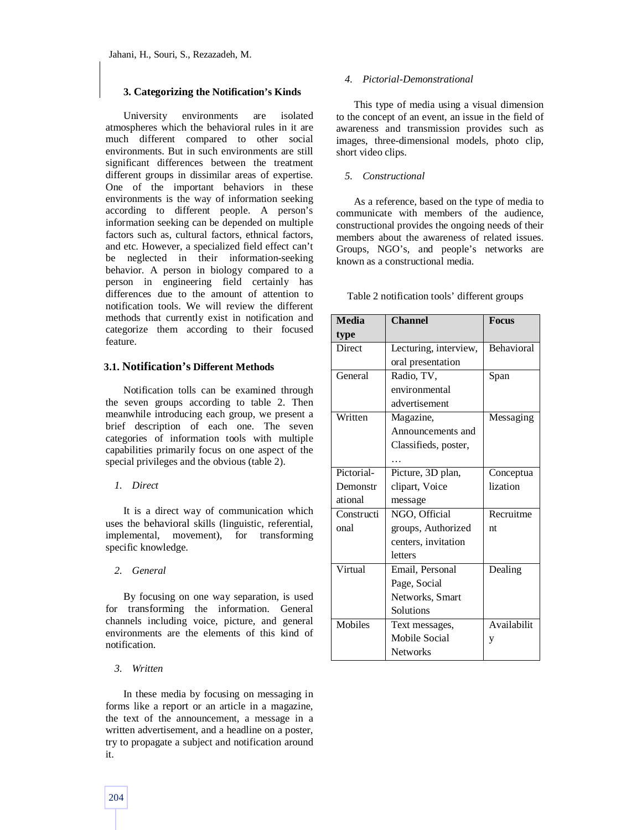## **3. Categorizing the Notification's Kinds**

University environments are isolated atmospheres which the behavioral rules in it are much different compared to other social environments. But in such environments are still significant differences between the treatment different groups in dissimilar areas of expertise. One of the important behaviors in these environments is the way of information seeking according to different people. A person's information seeking can be depended on multiple factors such as, cultural factors, ethnical factors, and etc. However, a specialized field effect can't be neglected in their information-seeking behavior. A person in biology compared to a person in engineering field certainly has differences due to the amount of attention to notification tools. We will review the different methods that currently exist in notification and categorize them according to their focused feature.

## **3.1. Notification's Different Methods**

Notification tolls can be examined through the seven groups according to table 2. Then meanwhile introducing each group, we present a brief description of each one. The seven categories of information tools with multiple capabilities primarily focus on one aspect of the special privileges and the obvious (table 2).

#### *1. Direct*

It is a direct way of communication which uses the behavioral skills (linguistic, referential, implemental, movement), for transforming specific knowledge.

#### *2. General*

By focusing on one way separation, is used for transforming the information. General channels including voice, picture, and general environments are the elements of this kind of notification.

## *3. Written*

In these media by focusing on messaging in forms like a report or an article in a magazine, the text of the announcement, a message in a written advertisement, and a headline on a poster, try to propagate a subject and notification around it.

#### *4. Pictorial-Demonstrational*

This type of media using a visual dimension to the concept of an event, an issue in the field of awareness and transmission provides such as images, three-dimensional models, photo clip, short video clips.

#### *5. Constructional*

As a reference, based on the type of media to communicate with members of the audience, constructional provides the ongoing needs of their members about the awareness of related issues. Groups, NGO's, and people's networks are known as a constructional media.

Table 2 notification tools' different groups

| <b>Media</b> | <b>Channel</b>        | <b>Focus</b>      |
|--------------|-----------------------|-------------------|
| type         |                       |                   |
| Direct       | Lecturing, interview, | <b>Behavioral</b> |
|              | oral presentation     |                   |
| General      | Radio, TV,            | Span              |
|              | environmental         |                   |
|              | advertisement         |                   |
| Written      | Magazine,             | Messaging         |
|              | Announcements and     |                   |
|              | Classifieds, poster,  |                   |
|              |                       |                   |
| Pictorial-   | Picture, 3D plan,     | Conceptua         |
| Demonstr     | clipart, Voice        | lization          |
| ational      | message               |                   |
| Constructi   | NGO, Official         | Recruitme         |
| onal         | groups, Authorized    | nt                |
|              | centers, invitation   |                   |
|              | letters               |                   |
| Virtual      | Email, Personal       | Dealing           |
|              | Page, Social          |                   |
|              | Networks, Smart       |                   |
|              | Solutions             |                   |
| Mobiles      | Text messages,        | Availabilit       |
|              | Mobile Social         | y                 |
|              | <b>Networks</b>       |                   |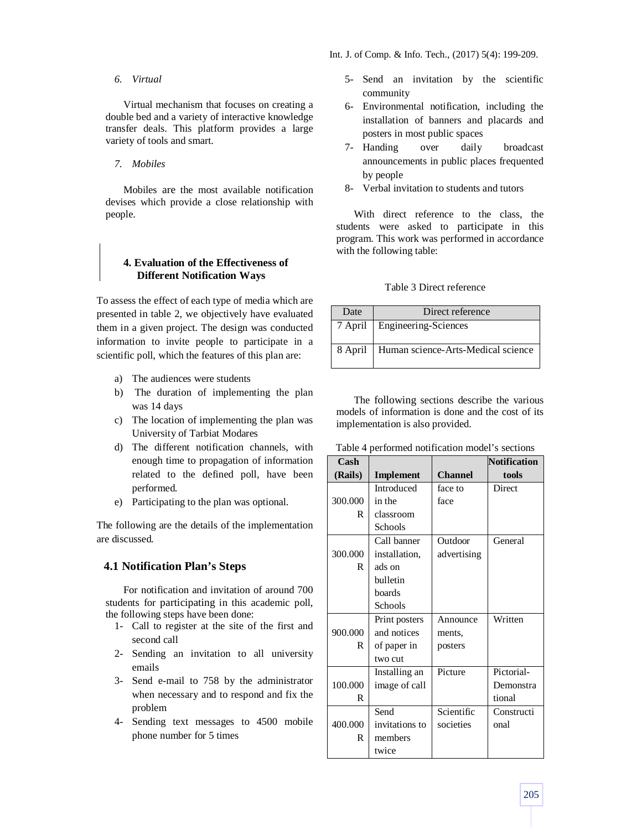## *6. Virtual*

Virtual mechanism that focuses on creating a double bed and a variety of interactive knowledge transfer deals. This platform provides a large variety of tools and smart.

#### *7. Mobiles*

Mobiles are the most available notification devises which provide a close relationship with people.

# **4. Evaluation of the Effectiveness of Different Notification Ways**

To assess the effect of each type of media which are presented in table 2, we objectively have evaluated them in a given project. The design was conducted information to invite people to participate in a scientific poll, which the features of this plan are:

- a) The audiences were students
- b) The duration of implementing the plan was 14 days
- c) The location of implementing the plan was University of Tarbiat Modares
- d) The different notification channels, with enough time to propagation of information related to the defined poll, have been performed.
- e) Participating to the plan was optional.

The following are the details of the implementation are discussed.

## **4.1 Notification Plan's Steps**

For notification and invitation of around 700 students for participating in this academic poll, the following steps have been done:

- 1- Call to register at the site of the first and second call
- 2- Sending an invitation to all university emails
- 3- Send e-mail to 758 by the administrator when necessary and to respond and fix the problem
- 4- Sending text messages to 4500 mobile phone number for 5 times
- 5- Send an invitation by the scientific community
- 6- Environmental notification, including the installation of banners and placards and posters in most public spaces
- 7- Handing over daily broadcast announcements in public places frequented by people
- 8- Verbal invitation to students and tutors

With direct reference to the class, the students were asked to participate in this program. This work was performed in accordance with the following table:

Table 3 Direct reference

| Date    | Direct reference                   |
|---------|------------------------------------|
|         | 7 April   Engineering-Sciences     |
| 8 April | Human science-Arts-Medical science |

The following sections describe the various models of information is done and the cost of its implementation is also provided.

Table 4 performed notification model's sections

| Cash    |                  |                | <b>Notification</b> |
|---------|------------------|----------------|---------------------|
| (Rails) | <b>Implement</b> | <b>Channel</b> | tools               |
|         | Introduced       | face to        | Direct              |
| 300.000 | in the           | face           |                     |
| R       | classroom        |                |                     |
|         | Schools          |                |                     |
|         | Call banner      | Outdoor        | General             |
| 300.000 | installation,    | advertising    |                     |
| R       | ads on           |                |                     |
|         | bulletin         |                |                     |
|         | boards           |                |                     |
|         | Schools          |                |                     |
|         | Print posters    | Announce       | Written             |
| 900.000 | and notices      | ments,         |                     |
| R       | of paper in      | posters        |                     |
|         | two cut          |                |                     |
|         | Installing an    | Picture        | Pictorial-          |
| 100.000 | image of call    |                | Demonstra           |
| R       |                  |                | tional              |
|         | Send             | Scientific     | Constructi          |
| 400.000 | invitations to   | societies      | onal                |
| R       | members          |                |                     |
|         | twice            |                |                     |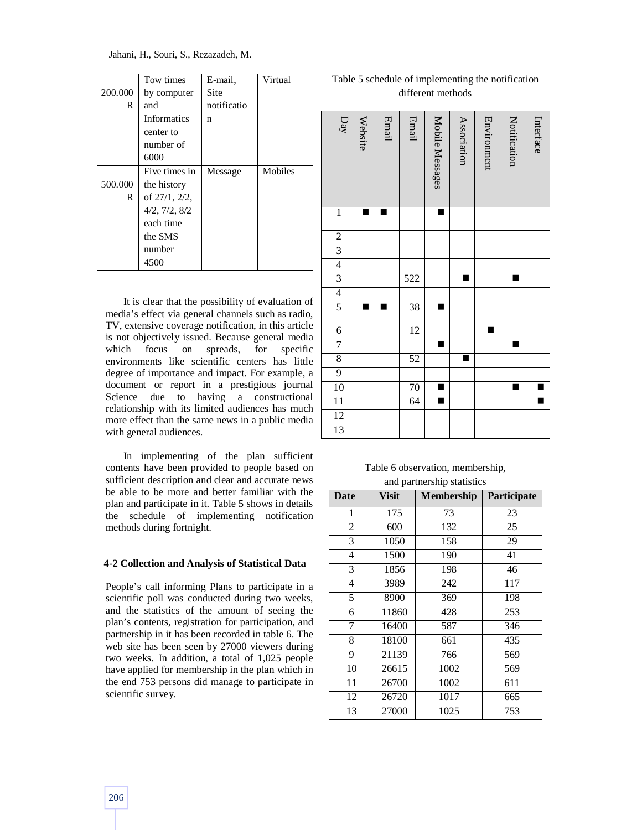Jahani, H., Souri, S., Rezazadeh, M.

|         | Tow times          | E-mail,     | Virtual |
|---------|--------------------|-------------|---------|
| 200.000 | by computer        | Site        |         |
| R       | and                | notificatio |         |
|         | <b>Informatics</b> | n           |         |
|         | center to          |             |         |
|         | number of          |             |         |
|         | 6000               |             |         |
|         | Five times in      | Message     | Mobiles |
| 500.000 | the history        |             |         |
| R       | of 27/1, 2/2,      |             |         |
|         | 4/2, 7/2, 8/2      |             |         |
|         | each time          |             |         |
|         | the SMS            |             |         |
|         | number             |             |         |
|         | 4500               |             |         |

It is clear that the possibility of evaluation of media's effect via general channels such as radio, TV, extensive coverage notification, in this article is not objectively issued. Because general media which focus on spreads, for specific environments like scientific centers has little degree of importance and impact. For example, a document or report in a prestigious journal Science due to having a constructional relationship with its limited audiences has much more effect than the same news in a public media with general audiences.

In implementing of the plan sufficient contents have been provided to people based on sufficient description and clear and accurate news be able to be more and better familiar with the plan and participate in it. Table 5 shows in details the schedule of implementing notification methods during fortnight.

#### **4-2 Collection and Analysis of Statistical Data**

People's call informing Plans to participate in a scientific poll was conducted during two weeks, and the statistics of the amount of seeing the plan's contents, registration for participation, and partnership in it has been recorded in table 6. The web site has been seen by 27000 viewers during two weeks. In addition, a total of 1,025 people have applied for membership in the plan which in the end 753 persons did manage to participate in scientific survey.

Table 5 schedule of implementing the notification different methods

| $\mathbf{D}$    | Website | Email | Email | Mobile Messages | Association | Environment | Notification | Interface |
|-----------------|---------|-------|-------|-----------------|-------------|-------------|--------------|-----------|
| $\overline{1}$  |         |       |       |                 |             |             |              |           |
|                 |         |       |       |                 |             |             |              |           |
| $\frac{2}{3}$   |         |       |       |                 |             |             |              |           |
|                 |         |       |       |                 |             |             |              |           |
| $\frac{4}{3}$   |         |       | 522   |                 |             |             |              |           |
|                 |         |       |       |                 |             |             |              |           |
| $\overline{5}$  |         |       | 38    | п               |             |             |              |           |
| $\overline{6}$  |         |       | 12    |                 |             | ∎           |              |           |
| $\overline{7}$  |         |       |       |                 |             |             |              |           |
| $\frac{8}{9}$   |         |       | 52    |                 | ∎           |             |              |           |
|                 |         |       |       |                 |             |             |              |           |
| 10              |         |       | 70    | E               |             |             |              |           |
|                 |         |       | 64    |                 |             |             |              |           |
| $\frac{11}{12}$ |         |       |       |                 |             |             |              |           |
| 13              |         |       |       |                 |             |             |              |           |

| Table 6 observation, membership, |
|----------------------------------|
| and partnership statistics       |

| <b>Date</b>    | <b>Visit</b> | <b>Membership</b> | Participate     |
|----------------|--------------|-------------------|-----------------|
| $\mathbf{1}$   | 175          | 73                | 23              |
| $\overline{c}$ | 600          | 132               | 25              |
| 3              | 1050         | 158               | 29              |
| $\overline{4}$ | 1500         | 190               | $\overline{41}$ |
| 3              | 1856         | 198               | 46              |
| 4              | 3989         | 242               | 117             |
| 5              | 8900         | 369               | 198             |
| 6              | 11860        | 428               | 253             |
| 7              | 16400        | 587               | 346             |
| 8              | 18100        | 661               | 435             |
| 9              | 21139        | 766               | 569             |
| 10             | 26615        | 1002              | 569             |
| 11             | 26700        | 1002              | 611             |
| 12             | 26720        | 1017              | 665             |
| 13             | 27000        | 1025              | 753             |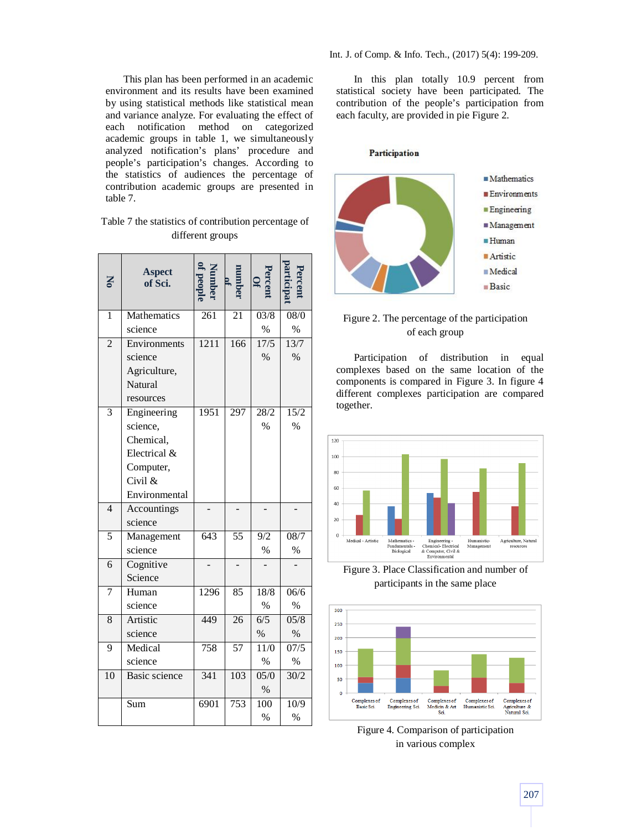This plan has been performed in an academic environment and its results have been examined by using statistical methods like statistical mean and variance analyze. For evaluating the effect of each notification method on categorized academic groups in table 1, we simultaneously analyzed notification's plans' procedure and people's participation's changes. According to the statistics of audiences the percentage of contribution academic groups are presented in table 7.

| Table 7 the statistics of contribution percentage of |
|------------------------------------------------------|
| different groups                                     |

| Z               | <b>Aspect</b><br>of Sci. |      |     | $\frac{\text{Percent}}{\text{Of}}$ |                   |
|-----------------|--------------------------|------|-----|------------------------------------|-------------------|
| 1               | Mathematics              | 261  | 21  | 03/8                               | 08/0              |
|                 | science                  |      |     | $\%$                               | $\frac{0}{0}$     |
| $\overline{2}$  | Environments             | 1211 | 166 | 17/5                               | 13/7              |
|                 | science                  |      |     | $\%$                               | $\%$              |
|                 | Agriculture,             |      |     |                                    |                   |
|                 | Natural                  |      |     |                                    |                   |
|                 | resources                |      |     |                                    |                   |
| $\overline{3}$  | Engineering              | 1951 | 297 | 28/2                               | 15/2              |
|                 | science,                 |      |     | $\%$                               | $\%$              |
|                 | Chemical,                |      |     |                                    |                   |
|                 | Electrical &             |      |     |                                    |                   |
|                 | Computer,                |      |     |                                    |                   |
|                 | Civil &                  |      |     |                                    |                   |
|                 | Environmental            |      |     |                                    |                   |
| $\overline{4}$  | Accountings              |      |     |                                    |                   |
|                 | science                  |      |     |                                    |                   |
| 5               | Management               | 643  | 55  | 9/2                                | 08/7              |
|                 | science                  |      |     | $\frac{0}{0}$                      | $\%$              |
| 6               | Cognitive                |      |     |                                    |                   |
|                 | Science                  |      |     |                                    |                   |
| $\overline{7}$  | Human                    | 1296 | 85  | 18/8                               | 06/6              |
|                 | science                  |      |     | $\%$                               | $\%$              |
| 8               | Artistic                 | 449  | 26  | 6/5                                | 05/8              |
|                 | science                  |      |     | $\%$                               | $\%$              |
| 9               | Medical                  | 758  | 57  | 11/0                               | $\overline{07/5}$ |
|                 | science                  |      |     | $\%$                               | $\%$              |
| $\overline{10}$ | <b>Basic science</b>     | 341  | 103 | 05/0                               | 30/2              |
|                 |                          |      |     | $\%$                               |                   |
|                 | Sum                      | 6901 | 753 | 100                                | 10/9              |
|                 |                          |      |     | $\frac{0}{0}$                      | $\%$              |

In this plan totally 10.9 percent from statistical society have been participated. The contribution of the people's participation from each faculty, are provided in pie Figure 2.

Participation



# Figure 2. The percentage of the participation of each group

Participation of distribution in equal complexes based on the same location of the components is compared in Figure 3. In figure 4 different complexes participation are compared together.



Figure 3. Place Classification and number of participants in the same place



Figure 4. Comparison of participation in various complex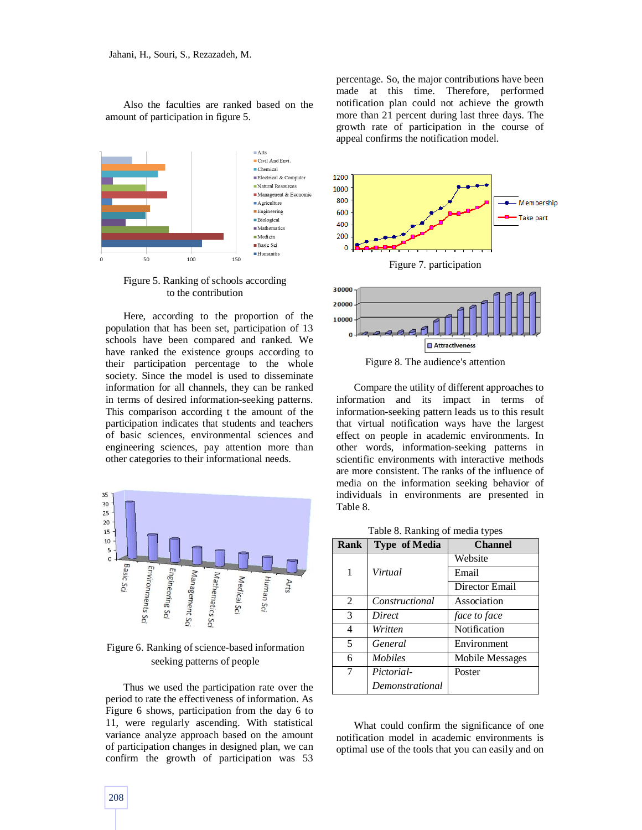Also the faculties are ranked based on the amount of participation in figure 5.



Figure 5. Ranking of schools according to the contribution

Here, according to the proportion of the population that has been set, participation of 13 schools have been compared and ranked. We have ranked the existence groups according to their participation percentage to the whole society. Since the model is used to disseminate information for all channels, they can be ranked in terms of desired information-seeking patterns. This comparison according t the amount of the participation indicates that students and teachers of basic sciences, environmental sciences and engineering sciences, pay attention more than other categories to their informational needs.



Figure 6. Ranking of science-based information seeking patterns of people

Thus we used the participation rate over the period to rate the effectiveness of information. As Figure 6 shows, participation from the day 6 to 11, were regularly ascending. With statistical variance analyze approach based on the amount of participation changes in designed plan, we can confirm the growth of participation was 53 percentage. So, the major contributions have been made at this time. Therefore, performed notification plan could not achieve the growth more than 21 percent during last three days. The growth rate of participation in the course of appeal confirms the notification model.





Figure 8. The audience's attention

Compare the utility of different approaches to information and its impact in terms of information-seeking pattern leads us to this result that virtual notification ways have the largest effect on people in academic environments. In other words, information-seeking patterns in scientific environments with interactive methods are more consistent. The ranks of the influence of media on the information seeking behavior of individuals in environments are presented in Table 8.

|  |  | Table 8. Ranking of media types |  |
|--|--|---------------------------------|--|
|--|--|---------------------------------|--|

| Rank | <b>Type of Media</b> | <b>Channel</b>  |
|------|----------------------|-----------------|
|      |                      | Website         |
| 1    | Virtual              | Email           |
|      |                      | Director Email  |
| 2    | Constructional       | Association     |
| 3    | Direct               | face to face    |
| 4    | Written              | Notification    |
| 5    | General              | Environment     |
| 6    | <i>Mobiles</i>       | Mobile Messages |
| 7    | Pictorial-           | Poster          |
|      | Demonstrational      |                 |

What could confirm the significance of one notification model in academic environments is optimal use of the tools that you can easily and on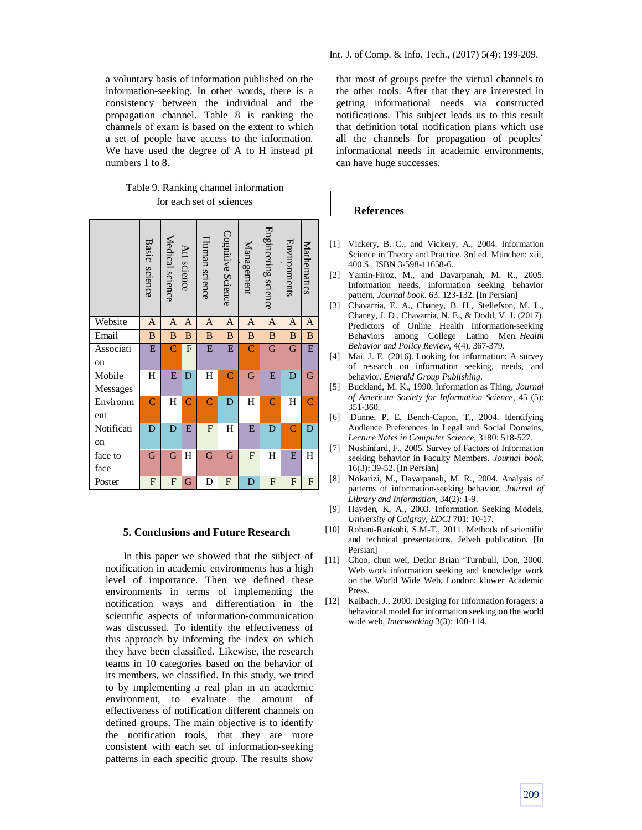a voluntary basis of information published on the information-seeking. In other words, there is a consistency between the individual and the propagation channel. Table 8 is ranking the channels of exam is based on the extent to which a set of people have access to the information. We have used the degree of A to H instead pf numbers 1 to 8.

# Table 9. Ranking channel information for each set of sciences

|            | Basic science  | Medical science | Art science    | Human science  | Cognitive Science  | Management     | Engineering science | Environments       | Mathematics               |
|------------|----------------|-----------------|----------------|----------------|--------------------|----------------|---------------------|--------------------|---------------------------|
| Website    | A              | A               | A              | A              | A                  | A              | A                   | A                  | A                         |
| Email      | B              | B               | B              | B              | B                  | B              | B                   | B                  | B                         |
| Associati  | E              | $\overline{C}$  | $\mathbf{F}$   | E              | E                  | $\overline{C}$ | G                   | G                  | E                         |
| on         |                |                 |                |                |                    |                |                     |                    |                           |
| Mobile     | H              | E               | D              | H              | $\overline{\rm C}$ | G              | E                   | D                  | G                         |
| Messages   |                |                 |                |                |                    |                |                     |                    |                           |
| Environm   | Ċ              | H               | $\overline{C}$ | $\overline{C}$ | D                  | H              | $\overline{C}$      | Η                  | C                         |
| ent        |                |                 |                |                |                    |                |                     |                    |                           |
| Notificati | D              | D               | E              | F              | H                  | E              | D                   | $\overline{\rm C}$ | D                         |
| on         |                |                 |                |                |                    |                |                     |                    |                           |
| face to    | G              | G               | H              | G              | G                  | $\mathbf{F}$   | H                   | E                  | H                         |
| face       |                |                 |                |                |                    |                |                     |                    |                           |
| Poster     | $\overline{F}$ | ${\bf F}$       | G              | D              | F                  | D              | F                   | ${\bf F}$          | $\boldsymbol{\mathrm{F}}$ |

#### **5. Conclusions and Future Research**

In this paper we showed that the subject of notification in academic environments has a high level of importance. Then we defined these environments in terms of implementing the notification ways and differentiation in the scientific aspects of information-communication was discussed. To identify the effectiveness of this approach by informing the index on which they have been classified. Likewise, the research teams in 10 categories based on the behavior of its members, we classified. In this study, we tried to by implementing a real plan in an academic environment, to evaluate the amount of effectiveness of notification different channels on defined groups. The main objective is to identify the notification tools, that they are more consistent with each set of information-seeking patterns in each specific group. The results show

that most of groups prefer the virtual channels to the other tools. After that they are interested in getting informational needs via constructed notifications. This subject leads us to this result that definition total notification plans which use all the channels for propagation of peoples' informational needs in academic environments, can have huge successes.

## **References**

- [1] Vickery, B. C., and Vickery, A., 2004. Information Science in Theory and Practice. 3rd ed. München: xiii, 400 S., ISBN 3-598-11658-6.
- [2] Yamin-Firoz, M., and Davarpanah, M. R., 2005. Information needs, information seeking behavior pattern, *Journal book*. 63: 123-132. [In Persian]
- [3] Chavarria, E. A., Chaney, B. H., Stellefson, M. L., Chaney, J. D., Chavarria, N. E., & Dodd, V. J. (2017). Predictors of Online Health Information-seeking Behaviors among College Latino Men. *Health Behavior and Policy Review*, 4(4), 367-379.
- [4] Mai, J. E. (2016). Looking for information: A survey of research on information seeking, needs, and behavior. *Emerald Group Publishing*.
- [5] Buckland, M. K., 1990. Information as Thing, *Journal of American Society for Information Science*, 45 (5): 351-360.
- [6] Dunne, P. E, Bench-Capon, T., 2004. Identifying Audience Preferences in Legal and Social Domains, *Lecture Notes in Computer Science*, 3180: 518-527.
- [7] Noshinfard, F., 2005. Survey of Factors of Information seeking behavior in Faculty Members. *Journal book*, 16(3): 39-52. [In Persian]
- [8] Nokarizi, M., Davarpanah, M. R., 2004. Analysis of patterns of information-seeking behavior, *Journal of Library and Information*, 34(2): 1-9.
- [9] Hayden, K, A., 2003. Information Seeking Models, *University of Calgray, EDCI* 701: 10-17.
- [10] Rohani-Rankohi, S.M-T., 2011. Methods of scientific and technical presentations, Jelveh publication. [In Persian]
- [11] Choo, chun wei, Detlor Brian 'Turnbull, Don, 2000. Web work information seeking and knowledge work on the World Wide Web, London: kluwer Academic Press.
- [12] Kalbach, J., 2000. Desiging for Information foragers: a behavioral model for information seeking on the world wide web, *Interworking* 3(3): 100-114.